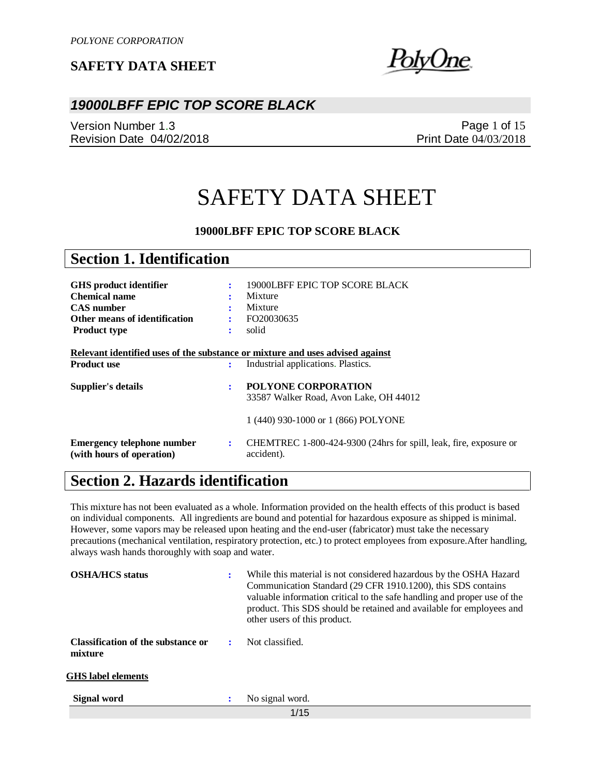wUne.

## *19000LBFF EPIC TOP SCORE BLACK*

Version Number 1.3 Revision Date 04/02/2018

Page 1 of 15 Print Date 04/03/2018

# SAFETY DATA SHEET

#### **19000LBFF EPIC TOP SCORE BLACK**

| <b>Section 1. Identification</b>                                                                                                   |                |                                                                                                                     |
|------------------------------------------------------------------------------------------------------------------------------------|----------------|---------------------------------------------------------------------------------------------------------------------|
| <b>GHS</b> product identifier<br><b>Chemical name</b><br><b>CAS</b> number<br>Other means of identification<br><b>Product type</b> | ÷<br>÷         | 19000LBFF EPIC TOP SCORE BLACK<br>Mixture<br>Mixture<br>FO20030635<br>solid                                         |
| <b>Product use</b>                                                                                                                 | ÷              | Relevant identified uses of the substance or mixture and uses advised against<br>Industrial applications. Plastics. |
| Supplier's details                                                                                                                 |                | <b>POLYONE CORPORATION</b><br>33587 Walker Road, Avon Lake, OH 44012<br>1 (440) 930-1000 or 1 (866) POLYONE         |
| <b>Emergency telephone number</b><br>(with hours of operation)                                                                     | $\ddot{\cdot}$ | CHEMTREC 1-800-424-9300 (24hrs for spill, leak, fire, exposure or<br>accident).                                     |

# **Section 2. Hazards identification**

This mixture has not been evaluated as a whole. Information provided on the health effects of this product is based on individual components. All ingredients are bound and potential for hazardous exposure as shipped is minimal. However, some vapors may be released upon heating and the end-user (fabricator) must take the necessary precautions (mechanical ventilation, respiratory protection, etc.) to protect employees from exposure.After handling, always wash hands thoroughly with soap and water.

| <b>OSHA/HCS</b> status                        | ÷ | While this material is not considered hazardous by the OSHA Hazard<br>Communication Standard (29 CFR 1910.1200), this SDS contains<br>valuable information critical to the safe handling and proper use of the<br>product. This SDS should be retained and available for employees and<br>other users of this product. |
|-----------------------------------------------|---|------------------------------------------------------------------------------------------------------------------------------------------------------------------------------------------------------------------------------------------------------------------------------------------------------------------------|
| Classification of the substance or<br>mixture | ÷ | Not classified.                                                                                                                                                                                                                                                                                                        |
| <b>GHS</b> label elements                     |   |                                                                                                                                                                                                                                                                                                                        |
| <b>Signal word</b>                            | : | No signal word.                                                                                                                                                                                                                                                                                                        |
|                                               |   | 1/15                                                                                                                                                                                                                                                                                                                   |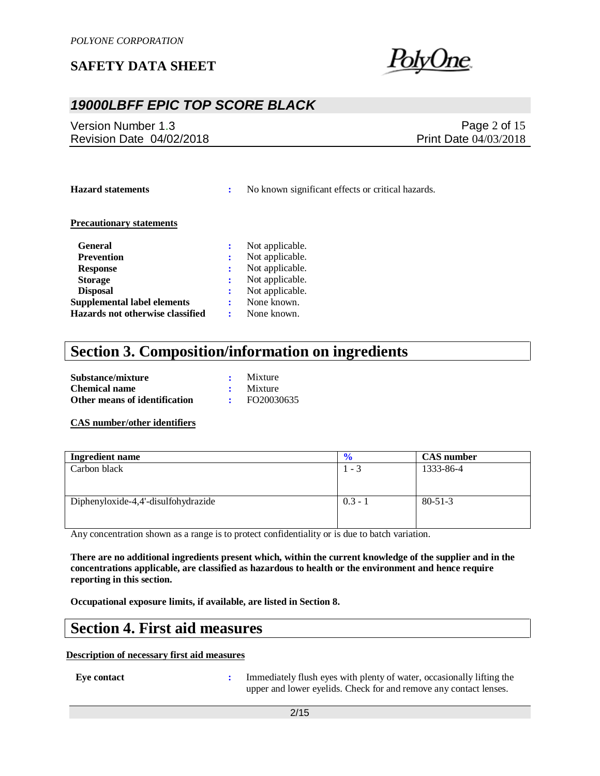

## *19000LBFF EPIC TOP SCORE BLACK*

Version Number 1.3 Revision Date 04/02/2018

Page 2 of 15 Print Date 04/03/2018

**Hazard statements :** No known significant effects or critical hazards.

#### **Precautionary statements**

| <b>General</b>                     | Not applicable. |
|------------------------------------|-----------------|
| <b>Prevention</b>                  | Not applicable. |
| <b>Response</b>                    | Not applicable. |
| <b>Storage</b>                     | Not applicable. |
| <b>Disposal</b>                    | Not applicable. |
| <b>Supplemental label elements</b> | None known.     |
| Hazards not otherwise classified   | None known.     |

# **Section 3. Composition/information on ingredients**

| Substance/mixture             | Mixture         |
|-------------------------------|-----------------|
| <b>Chemical name</b>          | $\cdot$ Mixture |
| Other means of identification | FO20030635      |

#### **CAS number/other identifiers**

| <b>Ingredient name</b>              | $\frac{1}{2}$ | <b>CAS</b> number |
|-------------------------------------|---------------|-------------------|
| Carbon black                        | 1 - 3         | 1333-86-4         |
|                                     |               |                   |
|                                     |               |                   |
| Diphenyloxide-4,4'-disulfohydrazide | $0.3 - 1$     | $80 - 51 - 3$     |
|                                     |               |                   |
|                                     |               |                   |

Any concentration shown as a range is to protect confidentiality or is due to batch variation.

**There are no additional ingredients present which, within the current knowledge of the supplier and in the concentrations applicable, are classified as hazardous to health or the environment and hence require reporting in this section.**

**Occupational exposure limits, if available, are listed in Section 8.**

## **Section 4. First aid measures**

#### **Description of necessary first aid measures**

**Eye contact :** Immediately flush eyes with plenty of water, occasionally lifting the upper and lower eyelids. Check for and remove any contact lenses.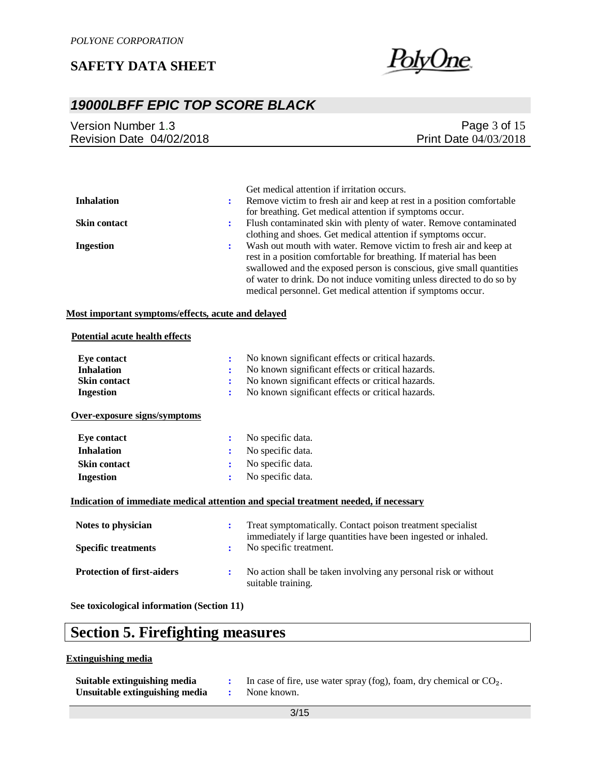

# *19000LBFF EPIC TOP SCORE BLACK*

| Version Number 1.3       | Page $3$ of $15$             |
|--------------------------|------------------------------|
| Revision Date 04/02/2018 | <b>Print Date 04/03/2018</b> |
|                          |                              |

|                     |   | Get medical attention if irritation occurs.                           |
|---------------------|---|-----------------------------------------------------------------------|
| <b>Inhalation</b>   | ÷ | Remove victim to fresh air and keep at rest in a position comfortable |
|                     |   | for breathing. Get medical attention if symptoms occur.               |
| <b>Skin contact</b> | ÷ | Flush contaminated skin with plenty of water. Remove contaminated     |
|                     |   | clothing and shoes. Get medical attention if symptoms occur.          |
| <b>Ingestion</b>    | ÷ | Wash out mouth with water. Remove victim to fresh air and keep at     |
|                     |   | rest in a position comfortable for breathing. If material has been    |
|                     |   | swallowed and the exposed person is conscious, give small quantities  |
|                     |   | of water to drink. Do not induce vomiting unless directed to do so by |
|                     |   | medical personnel. Get medical attention if symptoms occur.           |

#### **Most important symptoms/effects, acute and delayed**

#### **Potential acute health effects**

| Eye contact                       | ÷              | No known significant effects or critical hazards.                                                                            |
|-----------------------------------|----------------|------------------------------------------------------------------------------------------------------------------------------|
| <b>Inhalation</b>                 |                | No known significant effects or critical hazards.                                                                            |
| <b>Skin contact</b>               | ÷              | No known significant effects or critical hazards.                                                                            |
| <b>Ingestion</b>                  | $\ddot{\cdot}$ | No known significant effects or critical hazards.                                                                            |
| Over-exposure signs/symptoms      |                |                                                                                                                              |
| <b>Eye contact</b>                | ÷              | No specific data.                                                                                                            |
| <b>Inhalation</b>                 | ፡              | No specific data.                                                                                                            |
| <b>Skin contact</b>               | :              | No specific data.                                                                                                            |
| <b>Ingestion</b>                  | ÷              | No specific data.                                                                                                            |
|                                   |                | Indication of immediate medical attention and special treatment needed, if necessary                                         |
| Notes to physician                | ÷              | Treat symptomatically. Contact poison treatment specialist<br>immediately if large quantities have been ingested or inhaled. |
| <b>Specific treatments</b>        | ÷              | No specific treatment.                                                                                                       |
| <b>Protection of first-aiders</b> | ÷              | No action shall be taken involving any personal risk or without<br>suitable training.                                        |

**See toxicological information (Section 11)**

# **Section 5. Firefighting measures**

#### **Extinguishing media**

| Suitable extinguishing media   | In case of fire, use water spray (fog), foam, dry chemical or $CO2$ . |
|--------------------------------|-----------------------------------------------------------------------|
| Unsuitable extinguishing media | None known.                                                           |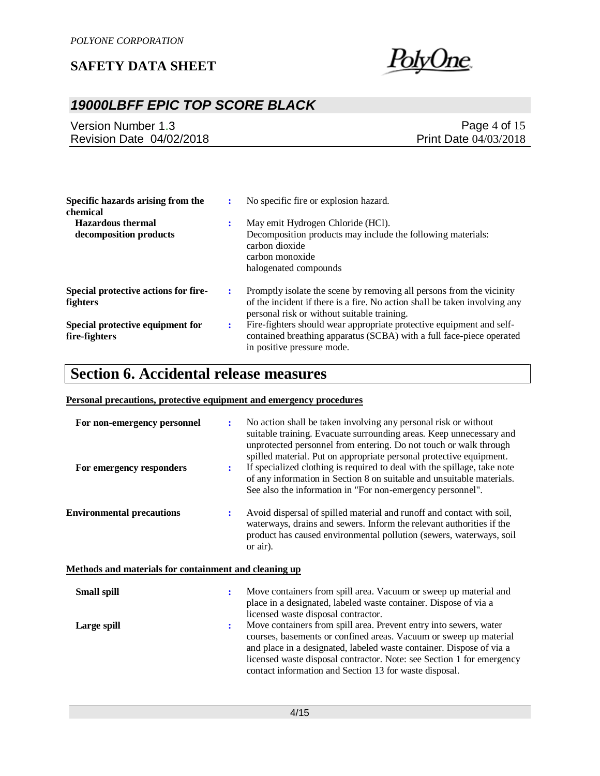

# *19000LBFF EPIC TOP SCORE BLACK*

Version Number 1.3 Revision Date 04/02/2018

Page 4 of 15 Print Date 04/03/2018

| Specific hazards arising from the<br>chemical           |   | No specific fire or explosion hazard.                                                                                                                                                             |
|---------------------------------------------------------|---|---------------------------------------------------------------------------------------------------------------------------------------------------------------------------------------------------|
| <b>Hazardous thermal</b><br>decomposition products      |   | May emit Hydrogen Chloride (HCl).<br>Decomposition products may include the following materials:<br>carbon dioxide<br>carbon monoxide<br>halogenated compounds                                    |
| Special protective actions for fire-<br><b>fighters</b> |   | Promptly isolate the scene by removing all persons from the vicinity<br>of the incident if there is a fire. No action shall be taken involving any<br>personal risk or without suitable training. |
| Special protective equipment for<br>fire-fighters       | ÷ | Fire-fighters should wear appropriate protective equipment and self-<br>contained breathing apparatus (SCBA) with a full face-piece operated<br>in positive pressure mode.                        |

# **Section 6. Accidental release measures**

#### **Personal precautions, protective equipment and emergency procedures**

| For non-emergency personnel<br>For emergency responders      | ÷<br>÷ | No action shall be taken involving any personal risk or without<br>suitable training. Evacuate surrounding areas. Keep unnecessary and<br>unprotected personnel from entering. Do not touch or walk through<br>spilled material. Put on appropriate personal protective equipment.<br>If specialized clothing is required to deal with the spillage, take note<br>of any information in Section 8 on suitable and unsuitable materials.<br>See also the information in "For non-emergency personnel". |
|--------------------------------------------------------------|--------|-------------------------------------------------------------------------------------------------------------------------------------------------------------------------------------------------------------------------------------------------------------------------------------------------------------------------------------------------------------------------------------------------------------------------------------------------------------------------------------------------------|
| <b>Environmental precautions</b>                             | ÷      | Avoid dispersal of spilled material and runoff and contact with soil,<br>waterways, drains and sewers. Inform the relevant authorities if the<br>product has caused environmental pollution (sewers, waterways, soil<br>or air).                                                                                                                                                                                                                                                                      |
| <b>Methods and materials for containment and cleaning up</b> |        |                                                                                                                                                                                                                                                                                                                                                                                                                                                                                                       |
| <b>Small spill</b>                                           | ÷      | Move containers from spill area. Vacuum or sweep up material and<br>place in a designated, labeled waste container. Dispose of via a<br>licensed waste disposal contractor.                                                                                                                                                                                                                                                                                                                           |
| Large spill                                                  | ٠.     | Move containers from spill area. Prevent entry into sewers, water<br>courses, basements or confined areas. Vacuum or sweep up material<br>and place in a designated, labeled waste container. Dispose of via a<br>licensed waste disposal contractor. Note: see Section 1 for emergency<br>contact information and Section 13 for waste disposal.                                                                                                                                                     |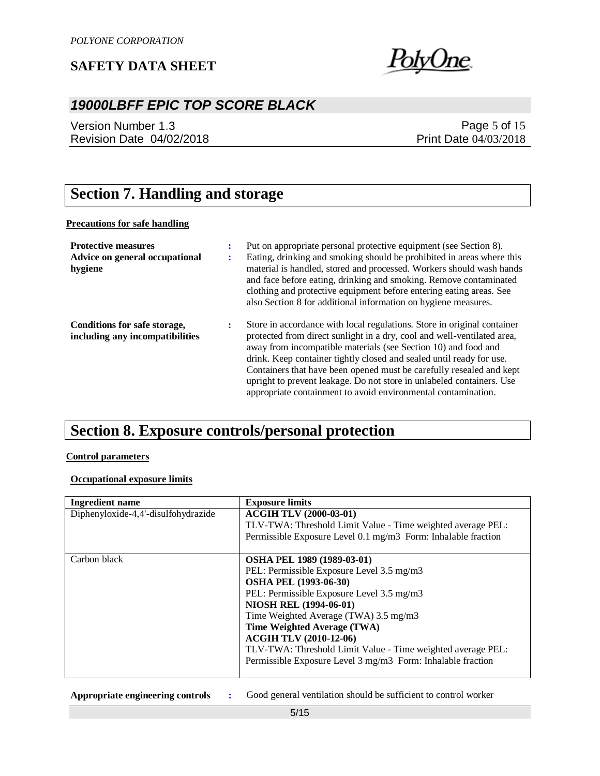

# *19000LBFF EPIC TOP SCORE BLACK*

Version Number 1.3 Revision Date 04/02/2018

### Page 5 of 15 Print Date 04/03/2018

# **Section 7. Handling and storage**

#### **Precautions for safe handling**

| <b>Protective measures</b><br>Advice on general occupational<br>hygiene | ٠<br>$\bullet$ | Put on appropriate personal protective equipment (see Section 8).<br>Eating, drinking and smoking should be prohibited in areas where this<br>material is handled, stored and processed. Workers should wash hands<br>and face before eating, drinking and smoking. Remove contaminated<br>clothing and protective equipment before entering eating areas. See<br>also Section 8 for additional information on hygiene measures.                                                                               |
|-------------------------------------------------------------------------|----------------|----------------------------------------------------------------------------------------------------------------------------------------------------------------------------------------------------------------------------------------------------------------------------------------------------------------------------------------------------------------------------------------------------------------------------------------------------------------------------------------------------------------|
| Conditions for safe storage,<br>including any incompatibilities         | ٠.             | Store in accordance with local regulations. Store in original container<br>protected from direct sunlight in a dry, cool and well-ventilated area,<br>away from incompatible materials (see Section 10) and food and<br>drink. Keep container tightly closed and sealed until ready for use.<br>Containers that have been opened must be carefully resealed and kept<br>upright to prevent leakage. Do not store in unlabeled containers. Use<br>appropriate containment to avoid environmental contamination. |

# **Section 8. Exposure controls/personal protection**

#### **Control parameters**

#### **Occupational exposure limits**

| <b>Ingredient name</b>              | <b>Exposure limits</b>                                        |
|-------------------------------------|---------------------------------------------------------------|
| Diphenyloxide-4,4'-disulfohydrazide | <b>ACGIH TLV (2000-03-01)</b>                                 |
|                                     | TLV-TWA: Threshold Limit Value - Time weighted average PEL:   |
|                                     | Permissible Exposure Level 0.1 mg/m3 Form: Inhalable fraction |
|                                     |                                                               |
| Carbon black                        | <b>OSHA PEL 1989 (1989-03-01)</b>                             |
|                                     | PEL: Permissible Exposure Level 3.5 mg/m3                     |
|                                     | <b>OSHA PEL (1993-06-30)</b>                                  |
|                                     | PEL: Permissible Exposure Level 3.5 mg/m3                     |
|                                     | <b>NIOSH REL (1994-06-01)</b>                                 |
|                                     | Time Weighted Average (TWA) 3.5 mg/m3                         |
|                                     | Time Weighted Average (TWA)                                   |
|                                     | <b>ACGIH TLV (2010-12-06)</b>                                 |
|                                     | TLV-TWA: Threshold Limit Value - Time weighted average PEL:   |
|                                     | Permissible Exposure Level 3 mg/m3 Form: Inhalable fraction   |
|                                     |                                                               |

| Appropriate engineering controls |  | Good general ventilation should be sufficient to control worker |
|----------------------------------|--|-----------------------------------------------------------------|
|----------------------------------|--|-----------------------------------------------------------------|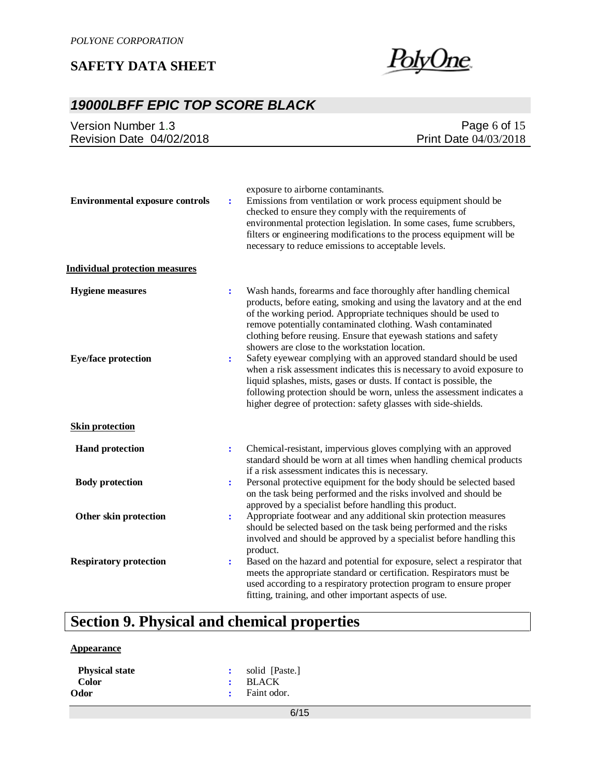

# *19000LBFF EPIC TOP SCORE BLACK*

| Version Number 1.3                                    |                                  | Page $6$ of $15$                                                                                                                                                                                                                                                                                                                                                                                                                                                        |
|-------------------------------------------------------|----------------------------------|-------------------------------------------------------------------------------------------------------------------------------------------------------------------------------------------------------------------------------------------------------------------------------------------------------------------------------------------------------------------------------------------------------------------------------------------------------------------------|
| Revision Date 04/02/2018                              |                                  | Print Date 04/03/2018                                                                                                                                                                                                                                                                                                                                                                                                                                                   |
| <b>Environmental exposure controls</b>                | $\ddot{\cdot}$                   | exposure to airborne contaminants.<br>Emissions from ventilation or work process equipment should be<br>checked to ensure they comply with the requirements of<br>environmental protection legislation. In some cases, fume scrubbers,<br>filters or engineering modifications to the process equipment will be<br>necessary to reduce emissions to acceptable levels.                                                                                                  |
| <b>Individual protection measures</b>                 |                                  |                                                                                                                                                                                                                                                                                                                                                                                                                                                                         |
| <b>Hygiene</b> measures<br><b>Eye/face protection</b> | $\ddot{\cdot}$<br>$\ddot{\cdot}$ | Wash hands, forearms and face thoroughly after handling chemical<br>products, before eating, smoking and using the lavatory and at the end<br>of the working period. Appropriate techniques should be used to<br>remove potentially contaminated clothing. Wash contaminated<br>clothing before reusing. Ensure that eyewash stations and safety<br>showers are close to the workstation location.<br>Safety eyewear complying with an approved standard should be used |
|                                                       |                                  | when a risk assessment indicates this is necessary to avoid exposure to<br>liquid splashes, mists, gases or dusts. If contact is possible, the<br>following protection should be worn, unless the assessment indicates a<br>higher degree of protection: safety glasses with side-shields.                                                                                                                                                                              |
| <b>Skin protection</b>                                |                                  |                                                                                                                                                                                                                                                                                                                                                                                                                                                                         |
| <b>Hand protection</b>                                | $\ddot{\cdot}$                   | Chemical-resistant, impervious gloves complying with an approved<br>standard should be worn at all times when handling chemical products<br>if a risk assessment indicates this is necessary.                                                                                                                                                                                                                                                                           |
| <b>Body protection</b>                                | $\ddot{\cdot}$                   | Personal protective equipment for the body should be selected based<br>on the task being performed and the risks involved and should be<br>approved by a specialist before handling this product.                                                                                                                                                                                                                                                                       |
| Other skin protection                                 | $\ddot{\cdot}$                   | Appropriate footwear and any additional skin protection measures<br>should be selected based on the task being performed and the risks<br>involved and should be approved by a specialist before handling this<br>product.                                                                                                                                                                                                                                              |
| <b>Respiratory protection</b>                         | $\ddot{\cdot}$                   | Based on the hazard and potential for exposure, select a respirator that<br>meets the appropriate standard or certification. Respirators must be<br>used according to a respiratory protection program to ensure proper<br>fitting, training, and other important aspects of use.                                                                                                                                                                                       |

# **Section 9. Physical and chemical properties**

#### **Appearance**

| <b>Physical state</b> | solid [Paste.]           |  |
|-----------------------|--------------------------|--|
| <b>Color</b>          | $:$ BLACK                |  |
| <b>Odor</b>           | $\therefore$ Faint odor. |  |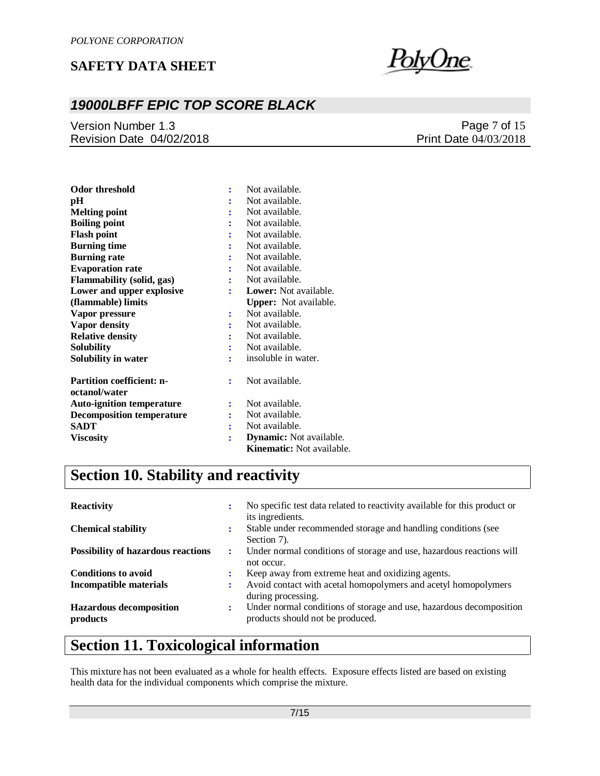

# *19000LBFF EPIC TOP SCORE BLACK*

Version Number 1.3 Revision Date 04/02/2018

### Page 7 of 15 Print Date 04/03/2018

| Odor threshold                   |   | Not available.                   |
|----------------------------------|---|----------------------------------|
| pН                               |   | Not available.                   |
| <b>Melting point</b>             |   | Not available.                   |
| <b>Boiling point</b>             |   | Not available.                   |
| <b>Flash point</b>               |   | Not available.                   |
| <b>Burning time</b>              | ÷ | Not available.                   |
| <b>Burning rate</b>              | ÷ | Not available.                   |
| <b>Evaporation rate</b>          |   | Not available.                   |
| <b>Flammability (solid, gas)</b> | ÷ | Not available.                   |
| Lower and upper explosive        | ÷ | <b>Lower:</b> Not available.     |
| (flammable) limits               |   | <b>Upper:</b> Not available.     |
| Vapor pressure                   | : | Not available.                   |
| Vapor density                    |   | Not available.                   |
| <b>Relative density</b>          |   | Not available.                   |
| Solubility                       | ÷ | Not available.                   |
| Solubility in water              | ÷ | insoluble in water.              |
| <b>Partition coefficient: n-</b> | ÷ | Not available.                   |
| octanol/water                    |   |                                  |
| <b>Auto-ignition temperature</b> |   | Not available.                   |
| <b>Decomposition temperature</b> | : | Not available.                   |
| <b>SADT</b>                      | ÷ | Not available.                   |
| <b>Viscosity</b>                 | ÷ | <b>Dynamic:</b> Not available.   |
|                                  |   | <b>Kinematic:</b> Not available. |

# **Section 10. Stability and reactivity**

| <b>Reactivity</b>                          |   | No specific test data related to reactivity available for this product or                               |
|--------------------------------------------|---|---------------------------------------------------------------------------------------------------------|
| <b>Chemical stability</b>                  |   | its ingredients.<br>Stable under recommended storage and handling conditions (see<br>Section 7).        |
| <b>Possibility of hazardous reactions</b>  | ÷ | Under normal conditions of storage and use, hazardous reactions will<br>not occur.                      |
| <b>Conditions to avoid</b>                 |   | Keep away from extreme heat and oxidizing agents.                                                       |
| <b>Incompatible materials</b>              |   | Avoid contact with acetal homopolymers and acetyl homopolymers<br>during processing.                    |
| <b>Hazardous decomposition</b><br>products |   | Under normal conditions of storage and use, hazardous decomposition<br>products should not be produced. |

# **Section 11. Toxicological information**

This mixture has not been evaluated as a whole for health effects. Exposure effects listed are based on existing health data for the individual components which comprise the mixture.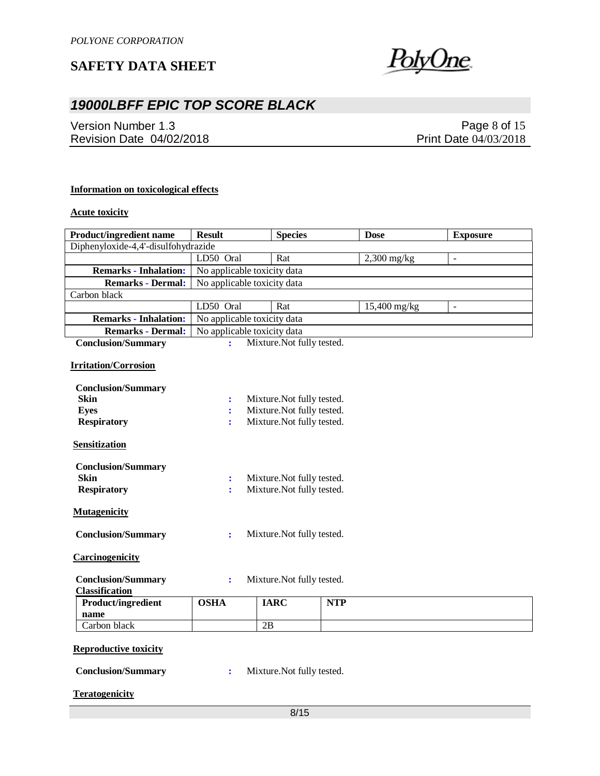

# *19000LBFF EPIC TOP SCORE BLACK*

Version Number 1.3 Revision Date 04/02/2018

Page 8 of 15 Print Date 04/03/2018

#### **Information on toxicological effects**

#### **Acute toxicity**

| <b>Product/ingredient name</b>                                 | <b>Result</b>                                | <b>Species</b>                                           |            | <b>Dose</b>   | <b>Exposure</b>          |
|----------------------------------------------------------------|----------------------------------------------|----------------------------------------------------------|------------|---------------|--------------------------|
| Diphenyloxide-4,4'-disulfohydrazide                            |                                              |                                                          |            |               |                          |
|                                                                | LD50 Oral                                    | Rat                                                      |            | $2,300$ mg/kg | $\overline{\phantom{a}}$ |
| <b>Remarks - Inhalation:</b>                                   | No applicable toxicity data                  |                                                          |            |               |                          |
| <b>Remarks - Dermal:</b>                                       | No applicable toxicity data                  |                                                          |            |               |                          |
| Carbon black                                                   |                                              |                                                          |            |               |                          |
|                                                                | LD50 Oral                                    | Rat                                                      |            | 15,400 mg/kg  | $\overline{\phantom{a}}$ |
| <b>Remarks - Inhalation:</b>                                   | No applicable toxicity data                  |                                                          |            |               |                          |
| <b>Remarks - Dermal:</b>                                       | No applicable toxicity data                  |                                                          |            |               |                          |
| <b>Conclusion/Summary</b>                                      | ÷.                                           | Mixture. Not fully tested.                               |            |               |                          |
| <b>Irritation/Corrosion</b>                                    |                                              |                                                          |            |               |                          |
| <b>Conclusion/Summary</b>                                      |                                              |                                                          |            |               |                          |
| <b>Skin</b>                                                    | $\ddot{\cdot}$                               | Mixture. Not fully tested.                               |            |               |                          |
| <b>Eyes</b>                                                    | $\ddot{\cdot}$                               | Mixture. Not fully tested.                               |            |               |                          |
| <b>Respiratory</b>                                             |                                              | Mixture. Not fully tested.                               |            |               |                          |
| <b>Sensitization</b>                                           |                                              |                                                          |            |               |                          |
| <b>Conclusion/Summary</b><br><b>Skin</b><br><b>Respiratory</b> | $\ddot{\cdot}$<br>÷                          | Mixture. Not fully tested.<br>Mixture. Not fully tested. |            |               |                          |
| <b>Mutagenicity</b>                                            |                                              |                                                          |            |               |                          |
| <b>Conclusion/Summary</b>                                      | Mixture. Not fully tested.<br>$\ddot{\cdot}$ |                                                          |            |               |                          |
| <b>Carcinogenicity</b>                                         |                                              |                                                          |            |               |                          |
| <b>Conclusion/Summary</b><br><b>Classification</b>             | ÷                                            | Mixture. Not fully tested.                               |            |               |                          |
| Product/ingredient<br>name                                     | <b>OSHA</b>                                  | <b>IARC</b>                                              | <b>NTP</b> |               |                          |
| Carbon black                                                   |                                              | 2B                                                       |            |               |                          |
| <b>Reproductive toxicity</b>                                   |                                              |                                                          |            |               |                          |

| <b>Conclusion/Summary</b> |  | Mixture. Not fully tested. |
|---------------------------|--|----------------------------|
|---------------------------|--|----------------------------|

**Teratogenicity**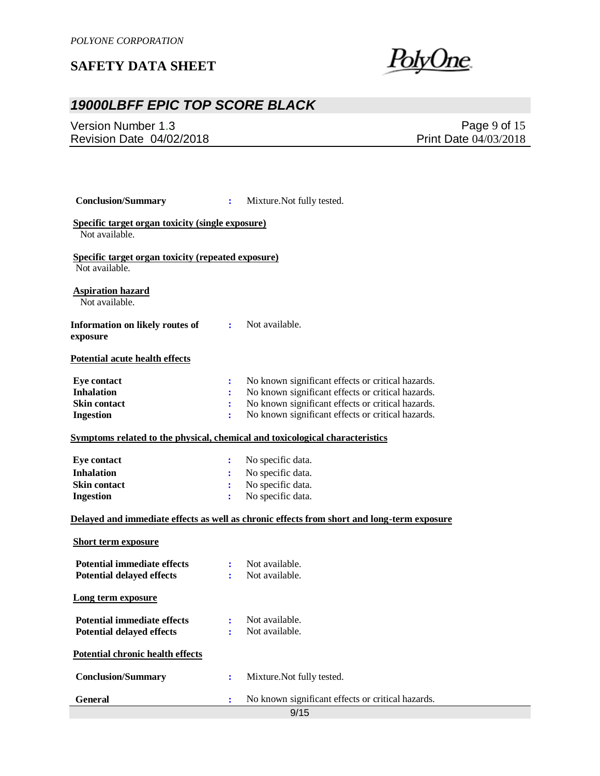<u>PolyOne</u>

# *19000LBFF EPIC TOP SCORE BLACK*

Version Number 1.3 Revision Date 04/02/2018

Page 9 of 15 Print Date 04/03/2018

| <b>Conclusion/Summary</b>                                                                  | ÷              | Mixture. Not fully tested.                        |  |  |
|--------------------------------------------------------------------------------------------|----------------|---------------------------------------------------|--|--|
| Specific target organ toxicity (single exposure)<br>Not available.                         |                |                                                   |  |  |
| <b>Specific target organ toxicity (repeated exposure)</b><br>Not available.                |                |                                                   |  |  |
| <b>Aspiration hazard</b><br>Not available.                                                 |                |                                                   |  |  |
| Information on likely routes of<br>exposure                                                | $\mathbf{r}$   | Not available.                                    |  |  |
| <b>Potential acute health effects</b>                                                      |                |                                                   |  |  |
| <b>Eye contact</b>                                                                         | ÷              | No known significant effects or critical hazards. |  |  |
| <b>Inhalation</b>                                                                          | ÷              | No known significant effects or critical hazards. |  |  |
| <b>Skin contact</b>                                                                        | ÷              | No known significant effects or critical hazards. |  |  |
| <b>Ingestion</b>                                                                           | ÷              | No known significant effects or critical hazards. |  |  |
| Symptoms related to the physical, chemical and toxicological characteristics               |                |                                                   |  |  |
| <b>Eye contact</b>                                                                         | ÷              | No specific data.                                 |  |  |
| <b>Inhalation</b>                                                                          |                | No specific data.                                 |  |  |
| <b>Skin contact</b>                                                                        | ÷              | No specific data.                                 |  |  |
| <b>Ingestion</b>                                                                           | ÷              | No specific data.                                 |  |  |
| Delayed and immediate effects as well as chronic effects from short and long-term exposure |                |                                                   |  |  |
| <b>Short term exposure</b>                                                                 |                |                                                   |  |  |
| <b>Potential immediate effects</b>                                                         |                | Not available.                                    |  |  |
| <b>Potential delayed effects</b>                                                           |                | Not available.                                    |  |  |
| Long term exposure                                                                         |                |                                                   |  |  |
| <b>Potential immediate effects</b>                                                         | $\ddot{\cdot}$ | Not available.                                    |  |  |
| <b>Potential delayed effects</b>                                                           |                | Not available.                                    |  |  |
|                                                                                            |                |                                                   |  |  |
| <b>Potential chronic health effects</b>                                                    |                |                                                   |  |  |
| <b>Conclusion/Summary</b>                                                                  | ÷              | Mixture. Not fully tested.                        |  |  |
| <b>General</b>                                                                             |                | No known significant effects or critical hazards. |  |  |
|                                                                                            |                | 9/15                                              |  |  |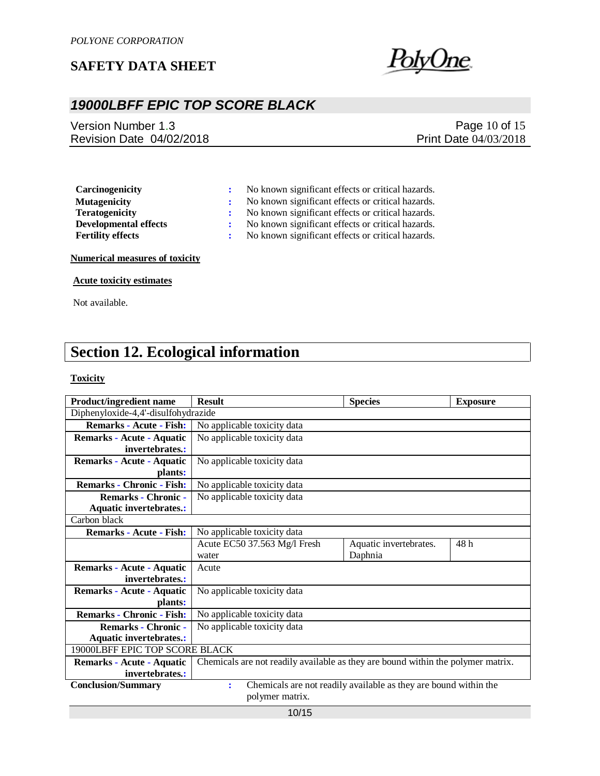

## *19000LBFF EPIC TOP SCORE BLACK*

Version Number 1.3 Revision Date 04/02/2018

Page 10 of 15 Print Date 04/03/2018

**Carcinogenicity :** No known significant effects or critical hazards.

**Mutagenicity :** No known significant effects or critical hazards.

**Teratogenicity :** No known significant effects or critical hazards.

**Developmental effects :** No known significant effects or critical hazards.

**Fertility effects :** No known significant effects or critical hazards.

#### **Numerical measures of toxicity**

#### **Acute toxicity estimates**

Not available.

# **Section 12. Ecological information**

#### **Toxicity**

| <b>Product/ingredient name</b>      | <b>Result</b>                                                                    | <b>Species</b>                                                   | <b>Exposure</b> |  |  |
|-------------------------------------|----------------------------------------------------------------------------------|------------------------------------------------------------------|-----------------|--|--|
| Diphenyloxide-4,4'-disulfohydrazide |                                                                                  |                                                                  |                 |  |  |
| <b>Remarks - Acute - Fish:</b>      | No applicable toxicity data                                                      |                                                                  |                 |  |  |
| Remarks - Acute - Aquatic           | No applicable toxicity data                                                      |                                                                  |                 |  |  |
| invertebrates.:                     |                                                                                  |                                                                  |                 |  |  |
| Remarks - Acute - Aquatic           | No applicable toxicity data                                                      |                                                                  |                 |  |  |
| plants:                             |                                                                                  |                                                                  |                 |  |  |
| <b>Remarks - Chronic - Fish:</b>    | No applicable toxicity data                                                      |                                                                  |                 |  |  |
| <b>Remarks - Chronic -</b>          | No applicable toxicity data                                                      |                                                                  |                 |  |  |
| <b>Aquatic invertebrates.:</b>      |                                                                                  |                                                                  |                 |  |  |
| Carbon black                        |                                                                                  |                                                                  |                 |  |  |
| <b>Remarks - Acute - Fish:</b>      | No applicable toxicity data                                                      |                                                                  |                 |  |  |
|                                     | Acute EC50 37.563 Mg/l Fresh                                                     | Aquatic invertebrates.                                           | 48 h            |  |  |
|                                     | water                                                                            | Daphnia                                                          |                 |  |  |
| Remarks - Acute - Aquatic           | Acute                                                                            |                                                                  |                 |  |  |
| invertebrates.:                     |                                                                                  |                                                                  |                 |  |  |
| Remarks - Acute - Aquatic           | No applicable toxicity data                                                      |                                                                  |                 |  |  |
| plants:                             |                                                                                  |                                                                  |                 |  |  |
| <b>Remarks - Chronic - Fish:</b>    | No applicable toxicity data                                                      |                                                                  |                 |  |  |
| <b>Remarks - Chronic -</b>          | No applicable toxicity data                                                      |                                                                  |                 |  |  |
| <b>Aquatic invertebrates.:</b>      |                                                                                  |                                                                  |                 |  |  |
| 19000LBFF EPIC TOP SCORE BLACK      |                                                                                  |                                                                  |                 |  |  |
| Remarks - Acute - Aquatic           | Chemicals are not readily available as they are bound within the polymer matrix. |                                                                  |                 |  |  |
| invertebrates.:                     |                                                                                  |                                                                  |                 |  |  |
| <b>Conclusion/Summary</b>           | $\ddot{\cdot}$                                                                   | Chemicals are not readily available as they are bound within the |                 |  |  |
|                                     | polymer matrix.                                                                  |                                                                  |                 |  |  |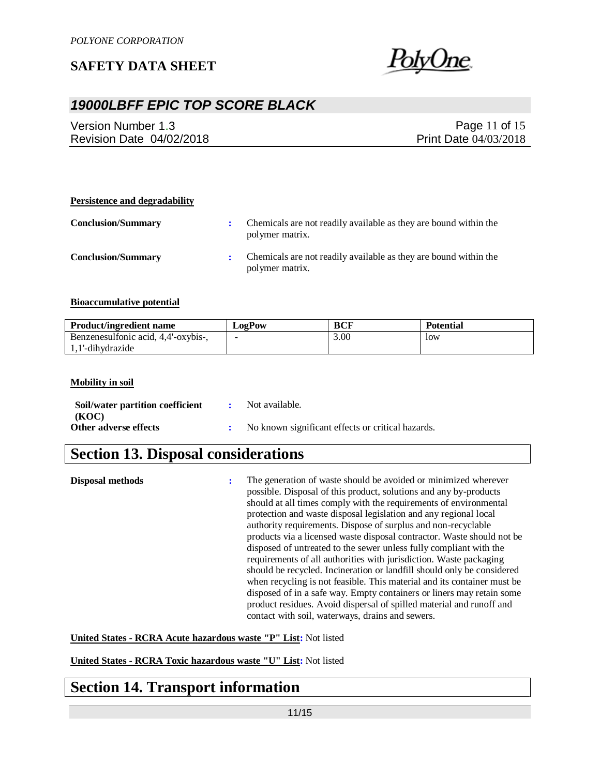

## *19000LBFF EPIC TOP SCORE BLACK*

Version Number 1.3 Revision Date 04/02/2018

Page 11 of 15 Print Date 04/03/2018

## **Persistence and degradability Conclusion/Summary :** Chemicals are not readily available as they are bound within the polymer matrix. **Conclusion/Summary :** Chemicals are not readily available as they are bound within the polymer matrix.

#### **Bioaccumulative potential**

| <b>Product/ingredient name</b>      | LogPow | <b>BCF</b> | <b>Potential</b> |
|-------------------------------------|--------|------------|------------------|
| Benzenesulfonic acid, 4,4'-oxybis-, |        | 3.00       | low              |
| 1.1'-dihydrazide                    |        |            |                  |

#### **Mobility in soil**

| Soil/water partition coefficient | Not available.                                    |
|----------------------------------|---------------------------------------------------|
| (KOC)                            |                                                   |
| Other adverse effects            | No known significant effects or critical hazards. |

# **Section 13. Disposal considerations**

| Disposal methods | ÷ | The generation of waste should be avoided or minimized wherever<br>possible. Disposal of this product, solutions and any by-products<br>should at all times comply with the requirements of environmental<br>protection and waste disposal legislation and any regional local<br>authority requirements. Dispose of surplus and non-recyclable<br>products via a licensed waste disposal contractor. Waste should not be<br>disposed of untreated to the sewer unless fully compliant with the<br>requirements of all authorities with jurisdiction. Waste packaging<br>should be recycled. Incineration or landfill should only be considered<br>when recycling is not feasible. This material and its container must be<br>disposed of in a safe way. Empty containers or liners may retain some<br>product residues. Avoid dispersal of spilled material and runoff and |
|------------------|---|----------------------------------------------------------------------------------------------------------------------------------------------------------------------------------------------------------------------------------------------------------------------------------------------------------------------------------------------------------------------------------------------------------------------------------------------------------------------------------------------------------------------------------------------------------------------------------------------------------------------------------------------------------------------------------------------------------------------------------------------------------------------------------------------------------------------------------------------------------------------------|
|                  |   | contact with soil, waterways, drains and sewers.                                                                                                                                                                                                                                                                                                                                                                                                                                                                                                                                                                                                                                                                                                                                                                                                                           |

**United States - RCRA Acute hazardous waste "P" List:** Not listed

**United States - RCRA Toxic hazardous waste "U" List:** Not listed

# **Section 14. Transport information**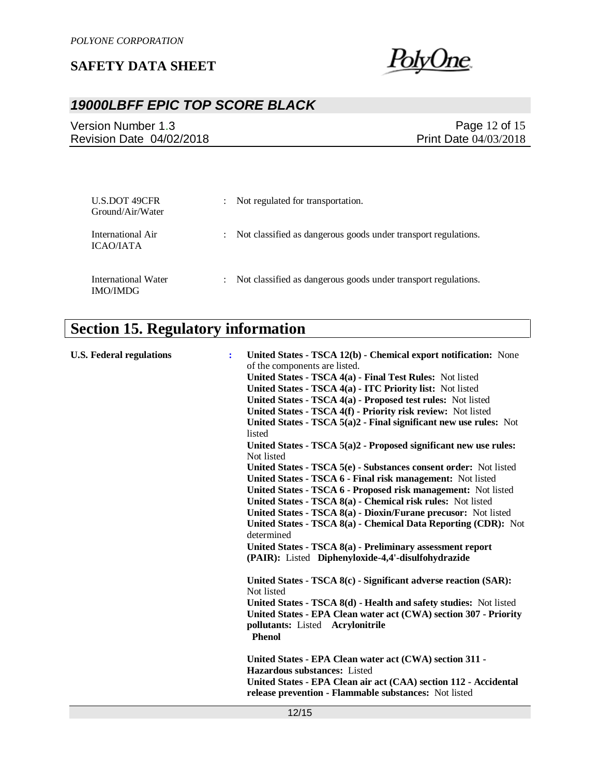

# *19000LBFF EPIC TOP SCORE BLACK*

Version Number 1.3 Revision Date 04/02/2018

Page 12 of 15 Print Date 04/03/2018

| U.S.DOT 49CFR<br>Ground/Air/Water             | $\ddot{\phantom{0}}$ | Not regulated for transportation.                              |
|-----------------------------------------------|----------------------|----------------------------------------------------------------|
| International Air<br>ICAO/IATA                | $\ddot{\phantom{0}}$ | Not classified as dangerous goods under transport regulations. |
| <b>International Water</b><br><b>IMO/IMDG</b> | $\mathbb{R}^n$       | Not classified as dangerous goods under transport regulations. |

# **Section 15. Regulatory information**

| <b>U.S. Federal regulations</b> | ÷ | United States - TSCA 12(b) - Chemical export notification: None                                                           |
|---------------------------------|---|---------------------------------------------------------------------------------------------------------------------------|
|                                 |   | of the components are listed.                                                                                             |
|                                 |   | United States - TSCA 4(a) - Final Test Rules: Not listed                                                                  |
|                                 |   | United States - TSCA 4(a) - ITC Priority list: Not listed                                                                 |
|                                 |   | United States - TSCA 4(a) - Proposed test rules: Not listed                                                               |
|                                 |   | United States - TSCA 4(f) - Priority risk review: Not listed                                                              |
|                                 |   | United States - TSCA $5(a)2$ - Final significant new use rules: Not<br>listed                                             |
|                                 |   | United States - TSCA $5(a)2$ - Proposed significant new use rules:<br>Not listed                                          |
|                                 |   | United States - TSCA 5(e) - Substances consent order: Not listed                                                          |
|                                 |   | United States - TSCA 6 - Final risk management: Not listed                                                                |
|                                 |   | United States - TSCA 6 - Proposed risk management: Not listed                                                             |
|                                 |   | United States - TSCA 8(a) - Chemical risk rules: Not listed                                                               |
|                                 |   | United States - TSCA 8(a) - Dioxin/Furane precusor: Not listed                                                            |
|                                 |   | United States - TSCA 8(a) - Chemical Data Reporting (CDR): Not<br>determined                                              |
|                                 |   | United States - TSCA 8(a) - Preliminary assessment report                                                                 |
|                                 |   | (PAIR): Listed Diphenyloxide-4,4'-disulfohydrazide                                                                        |
|                                 |   | United States - TSCA 8(c) - Significant adverse reaction (SAR):<br>Not listed                                             |
|                                 |   | United States - TSCA 8(d) - Health and safety studies: Not listed                                                         |
|                                 |   | United States - EPA Clean water act (CWA) section 307 - Priority                                                          |
|                                 |   | pollutants: Listed Acrylonitrile<br><b>Phenol</b>                                                                         |
|                                 |   | United States - EPA Clean water act (CWA) section 311 -                                                                   |
|                                 |   | <b>Hazardous substances:</b> Listed                                                                                       |
|                                 |   | United States - EPA Clean air act (CAA) section 112 - Accidental<br>release prevention - Flammable substances: Not listed |
|                                 |   |                                                                                                                           |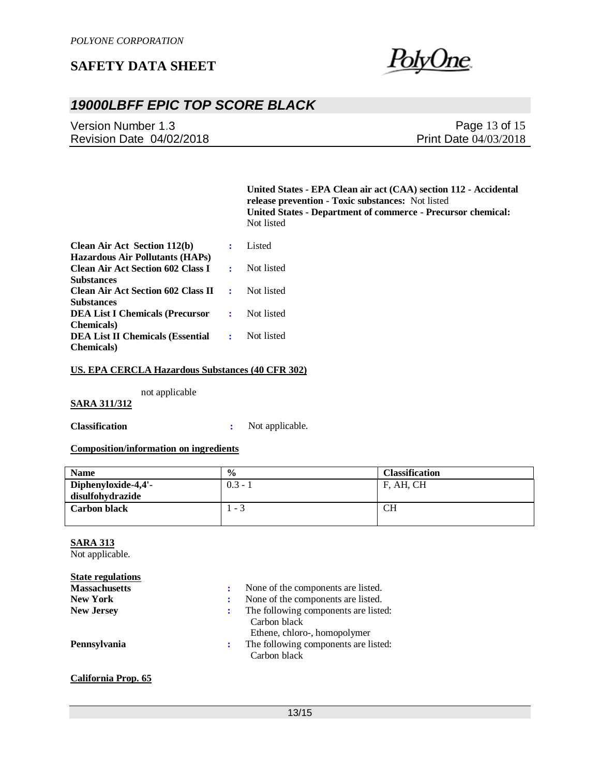

# *19000LBFF EPIC TOP SCORE BLACK*

Version Number 1.3 Revision Date 04/02/2018

Page 13 of 15 Print Date 04/03/2018

**United States - EPA Clean air act (CAA) section 112 - Accidental release prevention - Toxic substances:** Not listed **United States - Department of commerce - Precursor chemical:**  Not listed

| <b>Clean Air Act Section 112(b)</b>                                                |                  | Listed     |
|------------------------------------------------------------------------------------|------------------|------------|
| <b>Hazardous Air Pollutants (HAPs)</b><br><b>Clean Air Act Section 602 Class I</b> |                  | Not listed |
| <b>Substances</b><br><b>Clean Air Act Section 602 Class II</b>                     | $\sim$ 100 $\mu$ | Not listed |
| <b>Substances</b><br><b>DEA List I Chemicals (Precursor</b>                        | $\sim$ $\sim$    | Not listed |
| <b>Chemicals</b> )                                                                 |                  | Not listed |
| <b>DEA List II Chemicals (Essential</b><br><b>Chemicals</b> )                      | $\sim$ $\sim$    |            |

#### **US. EPA CERCLA Hazardous Substances (40 CFR 302)**

not applicable

#### **SARA 311/312**

**Classification :** Not applicable.

#### **Composition/information on ingredients**

| <b>Name</b>         | $\frac{6}{6}$            | <b>Classification</b> |
|---------------------|--------------------------|-----------------------|
| Diphenyloxide-4,4'- | $0.3 - 1$                | F, AH, CH             |
| disulfohydrazide    |                          |                       |
| <b>Carbon black</b> | $\overline{\phantom{a}}$ | CН                    |
|                     |                          |                       |

### **SARA 313**

Not applicable.

**California Prop. 65**

| <b>State regulations</b> |   |                                                                                      |
|--------------------------|---|--------------------------------------------------------------------------------------|
| <b>Massachusetts</b>     |   | None of the components are listed.                                                   |
| <b>New York</b>          | ÷ | None of the components are listed.                                                   |
| <b>New Jersey</b>        | ÷ | The following components are listed:<br>Carbon black                                 |
| Pennsylvania             | ÷ | Ethene, chloro-, homopolymer<br>The following components are listed:<br>Carbon black |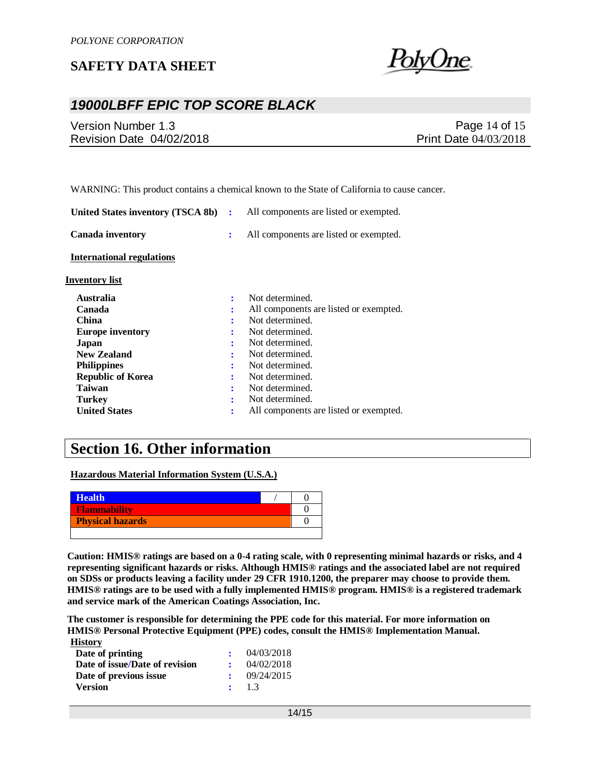

## *19000LBFF EPIC TOP SCORE BLACK*

| Version Number 1.3       | Page 14 of 15                |
|--------------------------|------------------------------|
| Revision Date 04/02/2018 | <b>Print Date 04/03/2018</b> |
|                          |                              |

WARNING: This product contains a chemical known to the State of California to cause cancer.

| United States inventory (TSCA 8b) | ÷ | All components are listed or exempted. |
|-----------------------------------|---|----------------------------------------|
| <b>Canada inventory</b>           | ÷ | All components are listed or exempted. |
| <b>International regulations</b>  |   |                                        |
| <b>Inventory list</b>             |   |                                        |
| <b>Australia</b>                  | ÷ | Not determined.                        |
| Canada                            | ٠ | All components are listed or exempted. |
| <b>China</b>                      | ٠ | Not determined.                        |
| <b>Europe inventory</b>           | ٠ | Not determined.                        |
| Japan                             | ÷ | Not determined.                        |
| <b>New Zealand</b>                | ÷ | Not determined.                        |
| <b>Philippines</b>                | ÷ | Not determined.                        |
| <b>Republic of Korea</b>          |   | Not determined.                        |
| Taiwan                            | ٠ | Not determined.                        |
| <b>Turkey</b>                     | ÷ | Not determined.                        |
| <b>United States</b>              | ÷ | All components are listed or exempted. |

## **Section 16. Other information**

**Hazardous Material Information System (U.S.A.)**

| <b>Health</b>           |  |
|-------------------------|--|
| <b>Flammability</b>     |  |
| <b>Physical hazards</b> |  |
|                         |  |

**Caution: HMIS® ratings are based on a 0-4 rating scale, with 0 representing minimal hazards or risks, and 4 representing significant hazards or risks. Although HMIS® ratings and the associated label are not required on SDSs or products leaving a facility under 29 CFR 1910.1200, the preparer may choose to provide them. HMIS® ratings are to be used with a fully implemented HMIS® program. HMIS® is a registered trademark and service mark of the American Coatings Association, Inc.**

**The customer is responsible for determining the PPE code for this material. For more information on HMIS® Personal Protective Equipment (PPE) codes, consult the HMIS® Implementation Manual. History**

| -------                        |            |
|--------------------------------|------------|
| Date of printing               | 04/03/2018 |
| Date of issue/Date of revision | 04/02/2018 |
| Date of previous issue         | 09/24/2015 |
| <b>Version</b>                 | $\pm$ 1.3  |
|                                |            |